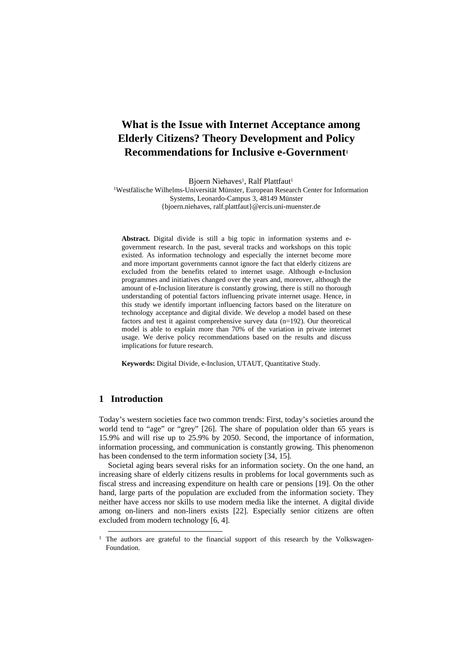# **What is the Issue with Internet Acceptance among Elderly Citizens? Theory Development and Policy Recommendations for Inclusive e-Government<sup>1</sup>**

Bjoern Niehaves<sup>1</sup>, Ralf Plattfaut<sup>1</sup> 1 Westfälische Wilhelms-Universität Münster, European Research Center for Information Systems, Leonardo-Campus 3, 48149 Münster {bjoern.niehaves, ralf.plattfaut}@ercis.uni-muenster.de

**Abstract.** Digital divide is still a big topic in information systems and egovernment research. In the past, several tracks and workshops on this topic existed. As information technology and especially the internet become more and more important governments cannot ignore the fact that elderly citizens are excluded from the benefits related to internet usage. Although e-Inclusion programmes and initiatives changed over the years and, moreover, although the amount of e-Inclusion literature is constantly growing, there is still no thorough understanding of potential factors influencing private internet usage. Hence, in this study we identify important influencing factors based on the literature on technology acceptance and digital divide. We develop a model based on these factors and test it against comprehensive survey data (n=192). Our theoretical model is able to explain more than 70% of the variation in private internet usage. We derive policy recommendations based on the results and discuss implications for future research.

**Keywords:** Digital Divide, e-Inclusion, UTAUT, Quantitative Study.

# **1 Introduction**

Today's western societies face two common trends: First, today's societies around the world tend to "age" or "grey" [26]. The share of population older than 65 years is 15.9% and will rise up to 25.9% by 2050. Second, the importance of information, information processing, and communication is constantly growing. This phenomenon has been condensed to the term information society [34, 15].

Societal aging bears several risks for an information society. On the one hand, an increasing share of elderly citizens results in problems for local governments such as fiscal stress and increasing expenditure on health care or pensions [19]. On the other hand, large parts of the population are excluded from the information society. They neither have access nor skills to use modern media like the internet. A digital divide among on-liners and non-liners exists [22]. Especially senior citizens are often excluded from modern technology [6, 4].

<sup>&</sup>lt;sup>1</sup> The authors are grateful to the financial support of this research by the Volkswagen-Foundation.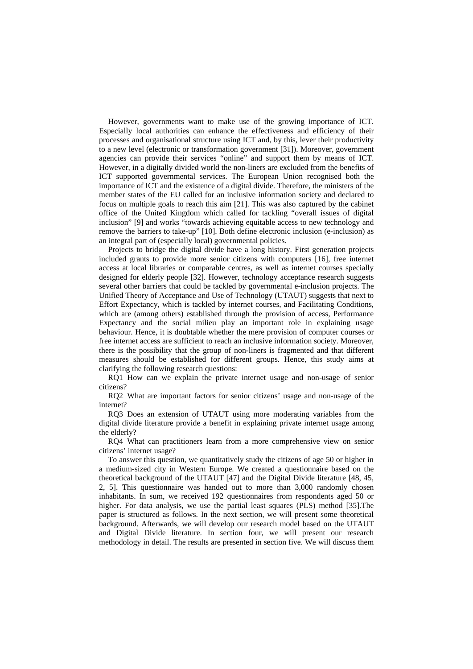However, governments want to make use of the growing importance of ICT. Especially local authorities can enhance the effectiveness and efficiency of their processes and organisational structure using ICT and, by this, lever their productivity to a new level (electronic or transformation government [31]). Moreover, government agencies can provide their services "online" and support them by means of ICT. However, in a digitally divided world the non-liners are excluded from the benefits of ICT supported governmental services. The European Union recognised both the importance of ICT and the existence of a digital divide. Therefore, the ministers of the member states of the EU called for an inclusive information society and declared to focus on multiple goals to reach this aim [21]. This was also captured by the cabinet office of the United Kingdom which called for tackling "overall issues of digital inclusion" [9] and works "towards achieving equitable access to new technology and remove the barriers to take-up" [10]. Both define electronic inclusion (e-inclusion) as an integral part of (especially local) governmental policies.

Projects to bridge the digital divide have a long history. First generation projects included grants to provide more senior citizens with computers [16], free internet access at local libraries or comparable centres, as well as internet courses specially designed for elderly people [32]. However, technology acceptance research suggests several other barriers that could be tackled by governmental e-inclusion projects. The Unified Theory of Acceptance and Use of Technology (UTAUT) suggests that next to Effort Expectancy, which is tackled by internet courses, and Facilitating Conditions, which are (among others) established through the provision of access, Performance Expectancy and the social milieu play an important role in explaining usage behaviour. Hence, it is doubtable whether the mere provision of computer courses or free internet access are sufficient to reach an inclusive information society. Moreover, there is the possibility that the group of non-liners is fragmented and that different measures should be established for different groups. Hence, this study aims at clarifying the following research questions:

RQ1 How can we explain the private internet usage and non-usage of senior citizens?

RQ2 What are important factors for senior citizens' usage and non-usage of the internet?

RQ3 Does an extension of UTAUT using more moderating variables from the digital divide literature provide a benefit in explaining private internet usage among the elderly?

RQ4 What can practitioners learn from a more comprehensive view on senior citizens' internet usage?

To answer this question, we quantitatively study the citizens of age 50 or higher in a medium-sized city in Western Europe. We created a questionnaire based on the theoretical background of the UTAUT [47] and the Digital Divide literature [48, 45, 2, 5]. This questionnaire was handed out to more than 3,000 randomly chosen inhabitants. In sum, we received 192 questionnaires from respondents aged 50 or higher. For data analysis, we use the partial least squares (PLS) method [35].The paper is structured as follows. In the next section, we will present some theoretical background. Afterwards, we will develop our research model based on the UTAUT and Digital Divide literature. In section four, we will present our research methodology in detail. The results are presented in section five. We will discuss them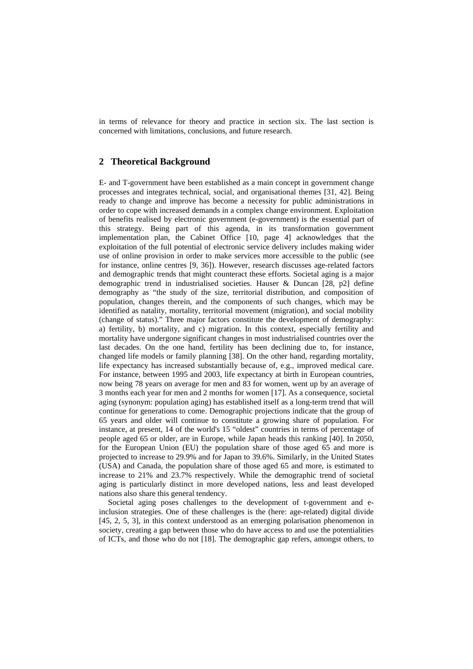in terms of relevance for theory and practice in section six. The last section is concerned with limitations, conclusions, and future research.

## **2 Theoretical Background**

E- and T-government have been established as a main concept in government change processes and integrates technical, social, and organisational themes [31, 42]. Being ready to change and improve has become a necessity for public administrations in order to cope with increased demands in a complex change environment. Exploitation of benefits realised by electronic government (e-government) is the essential part of this strategy. Being part of this agenda, in its transformation government implementation plan, the Cabinet Office [10, page 4] acknowledges that the exploitation of the full potential of electronic service delivery includes making wider use of online provision in order to make services more accessible to the public (see for instance, online centres [9, 36]). However, research discusses age-related factors and demographic trends that might counteract these efforts. Societal aging is a major demographic trend in industrialised societies. Hauser & Duncan [28, p2] define demography as "the study of the size, territorial distribution, and composition of population, changes therein, and the components of such changes, which may be identified as natality, mortality, territorial movement (migration), and social mobility (change of status)." Three major factors constitute the development of demography: a) fertility, b) mortality, and c) migration. In this context, especially fertility and mortality have undergone significant changes in most industrialised countries over the last decades. On the one hand, fertility has been declining due to, for instance, changed life models or family planning [38]. On the other hand, regarding mortality, life expectancy has increased substantially because of, e.g., improved medical care. For instance, between 1995 and 2003, life expectancy at birth in European countries, now being 78 years on average for men and 83 for women, went up by an average of 3 months each year for men and 2 months for women [17]. As a consequence, societal aging (synonym: population aging) has established itself as a long-term trend that will continue for generations to come. Demographic projections indicate that the group of 65 years and older will continue to constitute a growing share of population. For instance, at present, 14 of the world's 15 "oldest" countries in terms of percentage of people aged 65 or older, are in Europe, while Japan heads this ranking [40]. In 2050, for the European Union (EU) the population share of those aged 65 and more is projected to increase to 29.9% and for Japan to 39.6%. Similarly, in the United States (USA) and Canada, the population share of those aged 65 and more, is estimated to increase to 21% and 23.7% respectively. While the demographic trend of societal aging is particularly distinct in more developed nations, less and least developed nations also share this general tendency.

Societal aging poses challenges to the development of t-government and einclusion strategies. One of these challenges is the (here: age-related) digital divide [45, 2, 5, 3], in this context understood as an emerging polarisation phenomenon in society, creating a gap between those who do have access to and use the potentialities of ICTs, and those who do not [18]. The demographic gap refers, amongst others, to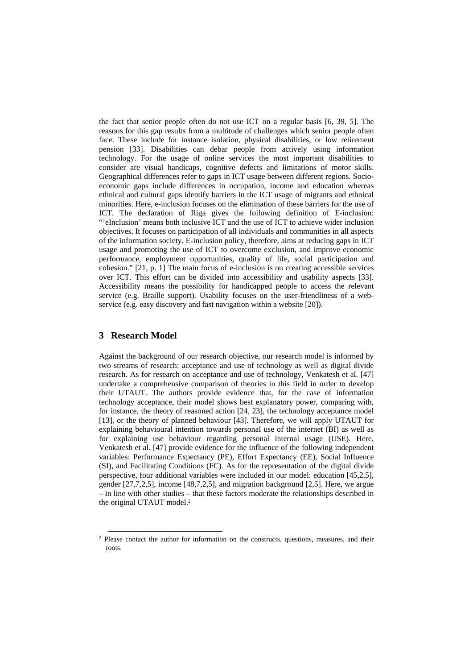the fact that senior people often do not use ICT on a regular basis [6, 39, 5]. The reasons for this gap results from a multitude of challenges which senior people often face. These include for instance isolation, physical disabilities, or low retirement pension [33]. Disabilities can debar people from actively using information technology. For the usage of online services the most important disabilities to consider are visual handicaps, cognitive defects and limitations of motor skills. Geographical differences refer to gaps in ICT usage between different regions. Socioeconomic gaps include differences in occupation, income and education whereas ethnical and cultural gaps identify barriers in the ICT usage of migrants and ethnical minorities. Here, e-inclusion focuses on the elimination of these barriers for the use of ICT. The declaration of Riga gives the following definition of E-inclusion: "'eInclusion' means both inclusive ICT and the use of ICT to achieve wider inclusion objectives. It focuses on participation of all individuals and communities in all aspects of the information society. E-inclusion policy, therefore, aims at reducing gaps in ICT usage and promoting the use of ICT to overcome exclusion, and improve economic performance, employment opportunities, quality of life, social participation and cohesion." [21, p. 1] The main focus of e-inclusion is on creating accessible services over ICT. This effort can be divided into accessibility and usability aspects [33]. Accessibility means the possibility for handicapped people to access the relevant service (e.g. Braille support). Usability focuses on the user-friendliness of a webservice (e.g. easy discovery and fast navigation within a website [20]).

# **3 Research Model**

Against the background of our research objective, our research model is informed by two streams of research: acceptance and use of technology as well as digital divide research. As for research on acceptance and use of technology, Venkatesh et al. [47] undertake a comprehensive comparison of theories in this field in order to develop their UTAUT. The authors provide evidence that, for the case of information technology acceptance, their model shows best explanatory power, comparing with, for instance, the theory of reasoned action [24, 23], the technology acceptance model [13], or the theory of planned behaviour [43]. Therefore, we will apply UTAUT for explaining behavioural intention towards personal use of the internet (BI) as well as for explaining use behaviour regarding personal internal usage (USE). Here, Venkatesh et al. [47] provide evidence for the influence of the following independent variables: Performance Expectancy (PE), Effort Expectancy (EE), Social Influence (SI), and Facilitating Conditions (FC). As for the representation of the digital divide perspective, four additional variables were included in our model: education [45,2,5], gender [27,7,2,5], income [48,7,2,5], and migration background [2,5]. Here, we argue – in line with other studies – that these factors moderate the relationships described in the original UTAUT model.<sup>2</sup>

<sup>&</sup>lt;sup>2</sup> Please contact the author for information on the constructs, questions, measures, and their roots.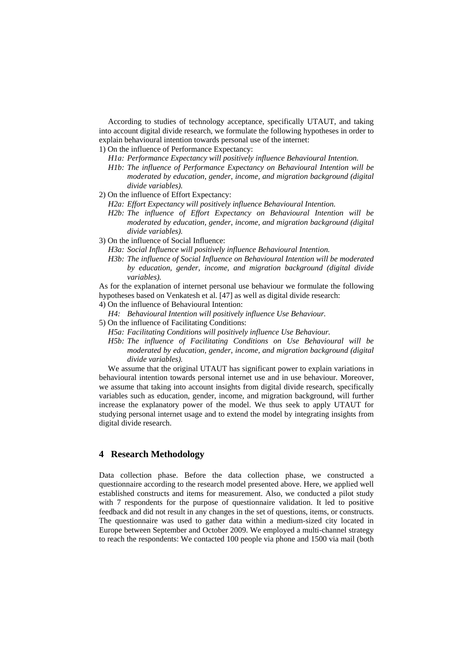According to studies of technology acceptance, specifically UTAUT, and taking into account digital divide research, we formulate the following hypotheses in order to explain behavioural intention towards personal use of the internet:

1) On the influence of Performance Expectancy:

*H1a: Performance Expectancy will positively influence Behavioural Intention.* 

*H1b: The influence of Performance Expectancy on Behavioural Intention will be moderated by education, gender, income, and migration background (digital divide variables).* 

2) On the influence of Effort Expectancy:

- *H2a: Effort Expectancy will positively influence Behavioural Intention.*
- *H2b: The influence of Effort Expectancy on Behavioural Intention will be moderated by education, gender, income, and migration background (digital divide variables).*

3) On the influence of Social Influence:

*H3a: Social Influence will positively influence Behavioural Intention.* 

*H3b: The influence of Social Influence on Behavioural Intention will be moderated by education, gender, income, and migration background (digital divide variables).* 

As for the explanation of internet personal use behaviour we formulate the following hypotheses based on Venkatesh et al. [47] as well as digital divide research:

4) On the influence of Behavioural Intention:

*H4: Behavioural Intention will positively influence Use Behaviour.* 

5) On the influence of Facilitating Conditions:

- *H5a: Facilitating Conditions will positively influence Use Behaviour.*
- *H5b: The influence of Facilitating Conditions on Use Behavioural will be moderated by education, gender, income, and migration background (digital divide variables).*

We assume that the original UTAUT has significant power to explain variations in behavioural intention towards personal internet use and in use behaviour. Moreover, we assume that taking into account insights from digital divide research, specifically variables such as education, gender, income, and migration background, will further increase the explanatory power of the model. We thus seek to apply UTAUT for studying personal internet usage and to extend the model by integrating insights from digital divide research.

#### **4 Research Methodology**

Data collection phase. Before the data collection phase, we constructed a questionnaire according to the research model presented above. Here, we applied well established constructs and items for measurement. Also, we conducted a pilot study with 7 respondents for the purpose of questionnaire validation. It led to positive feedback and did not result in any changes in the set of questions, items, or constructs. The questionnaire was used to gather data within a medium-sized city located in Europe between September and October 2009. We employed a multi-channel strategy to reach the respondents: We contacted 100 people via phone and 1500 via mail (both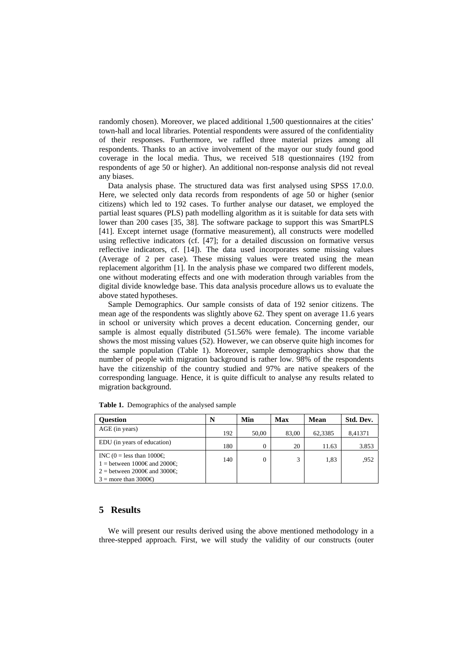randomly chosen). Moreover, we placed additional 1,500 questionnaires at the cities' town-hall and local libraries. Potential respondents were assured of the confidentiality of their responses. Furthermore, we raffled three material prizes among all respondents. Thanks to an active involvement of the mayor our study found good coverage in the local media. Thus, we received 518 questionnaires (192 from respondents of age 50 or higher). An additional non-response analysis did not reveal any biases.

Data analysis phase. The structured data was first analysed using SPSS 17.0.0. Here, we selected only data records from respondents of age 50 or higher (senior citizens) which led to 192 cases. To further analyse our dataset, we employed the partial least squares (PLS) path modelling algorithm as it is suitable for data sets with lower than 200 cases [35, 38]. The software package to support this was SmartPLS [41]. Except internet usage (formative measurement), all constructs were modelled using reflective indicators (cf. [47]; for a detailed discussion on formative versus reflective indicators, cf. [14]). The data used incorporates some missing values (Average of 2 per case). These missing values were treated using the mean replacement algorithm [1]. In the analysis phase we compared two different models, one without moderating effects and one with moderation through variables from the digital divide knowledge base. This data analysis procedure allows us to evaluate the above stated hypotheses.

Sample Demographics. Our sample consists of data of 192 senior citizens. The mean age of the respondents was slightly above 62. They spent on average 11.6 years in school or university which proves a decent education. Concerning gender, our sample is almost equally distributed (51.56% were female). The income variable shows the most missing values (52). However, we can observe quite high incomes for the sample population (Table 1). Moreover, sample demographics show that the number of people with migration background is rather low. 98% of the respondents have the citizenship of the country studied and 97% are native speakers of the corresponding language. Hence, it is quite difficult to analyse any results related to migration background.

| <b>Ouestion</b>                                                                                                                 | N   | Min      | <b>Max</b> | Mean    | Std. Dev. |
|---------------------------------------------------------------------------------------------------------------------------------|-----|----------|------------|---------|-----------|
| AGE (in years)                                                                                                                  | 192 | 50.00    | 83,00      | 62,3385 | 8.41371   |
| EDU (in years of education)                                                                                                     | 180 | $\Omega$ | 20         | 11.63   | 3.853     |
| INC (0 = less than 1000 $\in$<br>1 = between 1000€ and 2000€<br>2 = between 2000€ and 3000€<br>$3 =$ more than 3000 $\bigoplus$ | 140 |          |            | 1,83    | .952      |

**Table 1.** Demographics of the analysed sample

## **5 Results**

We will present our results derived using the above mentioned methodology in a three-stepped approach. First, we will study the validity of our constructs (outer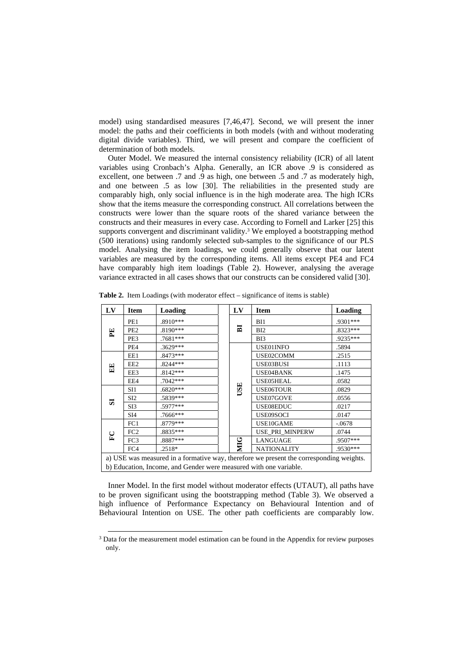model) using standardised measures [7,46,47]. Second, we will present the inner model: the paths and their coefficients in both models (with and without moderating digital divide variables). Third, we will present and compare the coefficient of determination of both models.

Outer Model. We measured the internal consistency reliability (ICR) of all latent variables using Cronbach's Alpha. Generally, an ICR above .9 is considered as excellent, one between .7 and .9 as high, one between .5 and .7 as moderately high, and one between .5 as low [30]. The reliabilities in the presented study are comparably high, only social influence is in the high moderate area. The high ICRs show that the items measure the corresponding construct. All correlations between the constructs were lower than the square roots of the shared variance between the constructs and their measures in every case. According to Fornell and Larker [25] this supports convergent and discriminant validity.<sup>3</sup> We employed a bootstrapping method (500 iterations) using randomly selected sub-samples to the significance of our PLS model. Analysing the item loadings, we could generally observe that our latent variables are measured by the corresponding items. All items except PE4 and FC4 have comparably high item loadings (Table 2). However, analysing the average variance extracted in all cases shows that our constructs can be considered valid [30].

| LV                                                                                      | <b>Item</b>     | Loading    | LV         | <b>Item</b>        | Loading  |
|-----------------------------------------------------------------------------------------|-----------------|------------|------------|--------------------|----------|
| E                                                                                       | PE1             | $.8910***$ |            | BI1                | .9301*** |
|                                                                                         | PE <sub>2</sub> | .8190***   | Ы          | BI2                | .8323*** |
|                                                                                         | PE3             | .7681***   |            | BI3                | .9235*** |
|                                                                                         | PE4             | .3629***   |            | USE01INFO          | .5894    |
| E                                                                                       | EE1             | $.8473***$ |            | USE02COMM          | .2515    |
|                                                                                         | EE <sub>2</sub> | .8244***   |            | <b>USE03BUSI</b>   | .1113    |
|                                                                                         | EE3             | $.8142***$ |            | <b>USE04BANK</b>   | .1475    |
|                                                                                         | EE4             | .7042***   |            | USE05HEAL          | .0582    |
| 5                                                                                       | SI1             | $.6820***$ | <b>USE</b> | <b>USE06TOUR</b>   | .0829    |
|                                                                                         | SI <sub>2</sub> | .5839***   |            | USE07GOVE          | .0556    |
|                                                                                         | SI <sub>3</sub> | .5977***   |            | USE08EDUC          | .0217    |
|                                                                                         | SI <sub>4</sub> | .7666***   |            | USE09SOCI          | .0147    |
| $_{\rm FC}$                                                                             | FC1             | .8779***   |            | USE10GAME          | $-.0678$ |
|                                                                                         | FC <sub>2</sub> | .8835***   |            | USE PRI MINPERW    | .0744    |
|                                                                                         | FC3             | .8887***   | MIG        | LANGUAGE           | .9507*** |
|                                                                                         | FC4             | $.2518*$   |            | <b>NATIONALITY</b> | .9530*** |
| a) USE was measured in a formative way, therefore we present the corresponding weights. |                 |            |            |                    |          |
| b) Education, Income, and Gender were measured with one variable.                       |                 |            |            |                    |          |

**Table 2.** Item Loadings (with moderator effect – significance of items is stable)

Inner Model. In the first model without moderator effects (UTAUT), all paths have to be proven significant using the bootstrapping method (Table 3). We observed a high influence of Performance Expectancy on Behavioural Intention and of Behavioural Intention on USE. The other path coefficients are comparably low.

<sup>&</sup>lt;sup>3</sup> Data for the measurement model estimation can be found in the Appendix for review purposes only.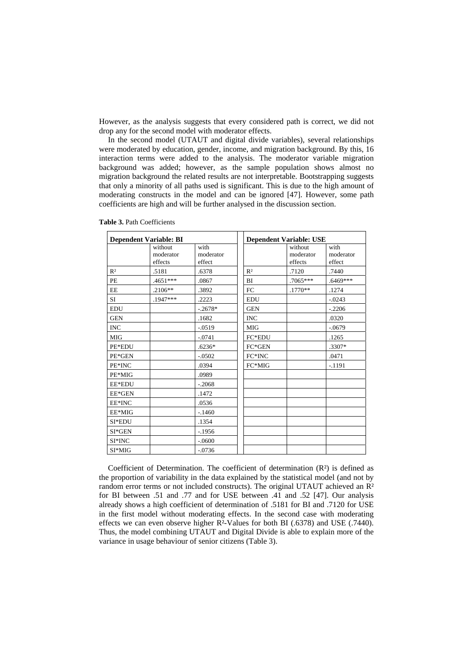However, as the analysis suggests that every considered path is correct, we did not drop any for the second model with moderator effects.

In the second model (UTAUT and digital divide variables), several relationships were moderated by education, gender, income, and migration background. By this, 16 interaction terms were added to the analysis. The moderator variable migration background was added; however, as the sample population shows almost no migration background the related results are not interpretable. Bootstrapping suggests that only a minority of all paths used is significant. This is due to the high amount of moderating constructs in the model and can be ignored [47]. However, some path coefficients are high and will be further analysed in the discussion section.

| <b>Dependent Variable: BI</b> |                                 |                             | <b>Dependent Variable: USE</b> |                                 |                             |  |
|-------------------------------|---------------------------------|-----------------------------|--------------------------------|---------------------------------|-----------------------------|--|
|                               | without<br>moderator<br>effects | with<br>moderator<br>effect |                                | without<br>moderator<br>effects | with<br>moderator<br>effect |  |
| R <sup>2</sup>                | .5181                           | .6378                       | $R^2$                          | .7120                           | .7440                       |  |
| PE                            | .4651***                        | .0867                       | BI                             | .7065***                        | $.6469***$                  |  |
| EE                            | $.2106**$                       | .3892                       | FC                             | .1770**                         | .1274                       |  |
| SI                            | .1947***                        | .2223                       | <b>EDU</b>                     |                                 | $-.0243$                    |  |
| <b>EDU</b>                    |                                 | $-.2678*$                   | <b>GEN</b>                     |                                 | $-.2206$                    |  |
| <b>GEN</b>                    |                                 | .1682                       | <b>INC</b>                     |                                 | .0320                       |  |
| <b>INC</b>                    |                                 | $-.0519$                    | <b>MIG</b>                     |                                 | $-.0679$                    |  |
| <b>MIG</b>                    |                                 | $-.0741$                    | FC*EDU                         |                                 | .1265                       |  |
| PE*EDU                        |                                 | $.6236*$                    | FC*GEN                         |                                 | .3307*                      |  |
| PE*GEN                        |                                 | $-.0502$                    | FC*INC                         |                                 | .0471                       |  |
| PE*INC                        |                                 | .0394                       | FC*MIG                         |                                 | $-.1191$                    |  |
| PE*MIG                        |                                 | .0989                       |                                |                                 |                             |  |
| EE*EDU                        |                                 | $-.2068$                    |                                |                                 |                             |  |
| EE*GEN                        |                                 | .1472                       |                                |                                 |                             |  |
| EE*INC                        |                                 | .0536                       |                                |                                 |                             |  |
| EE*MIG                        |                                 | $-.1460$                    |                                |                                 |                             |  |
| SI*EDU                        |                                 | .1354                       |                                |                                 |                             |  |
| SI*GEN                        |                                 | $-1956$                     |                                |                                 |                             |  |
| SI*INC                        |                                 | $-.0600$                    |                                |                                 |                             |  |
| SI*MIG                        |                                 | $-.0736$                    |                                |                                 |                             |  |

**Table 3.** Path Coefficients

Coefficient of Determination. The coefficient of determination (R²) is defined as the proportion of variability in the data explained by the statistical model (and not by random error terms or not included constructs). The original UTAUT achieved an R² for BI between .51 and .77 and for USE between .41 and .52 [47]. Our analysis already shows a high coefficient of determination of .5181 for BI and .7120 for USE in the first model without moderating effects. In the second case with moderating effects we can even observe higher R²-Values for both BI (.6378) and USE (.7440). Thus, the model combining UTAUT and Digital Divide is able to explain more of the variance in usage behaviour of senior citizens (Table 3).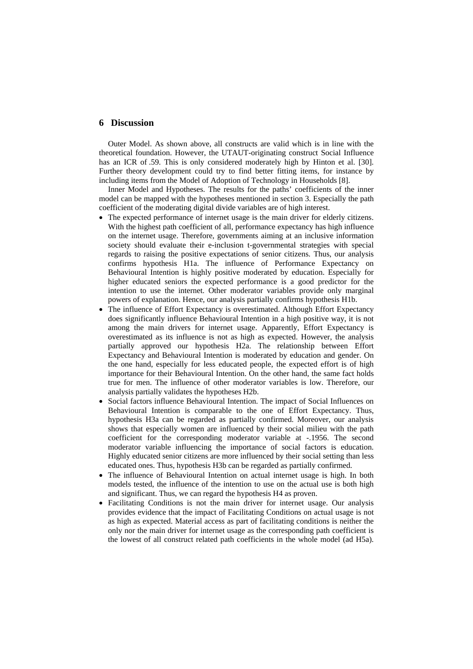# **6 Discussion**

Outer Model. As shown above, all constructs are valid which is in line with the theoretical foundation. However, the UTAUT-originating construct Social Influence has an ICR of .59. This is only considered moderately high by Hinton et al. [30]. Further theory development could try to find better fitting items, for instance by including items from the Model of Adoption of Technology in Households [8].

Inner Model and Hypotheses. The results for the paths' coefficients of the inner model can be mapped with the hypotheses mentioned in section 3. Especially the path coefficient of the moderating digital divide variables are of high interest.

- The expected performance of internet usage is the main driver for elderly citizens. With the highest path coefficient of all, performance expectancy has high influence on the internet usage. Therefore, governments aiming at an inclusive information society should evaluate their e-inclusion t-governmental strategies with special regards to raising the positive expectations of senior citizens. Thus, our analysis confirms hypothesis H1a. The influence of Performance Expectancy on Behavioural Intention is highly positive moderated by education. Especially for higher educated seniors the expected performance is a good predictor for the intention to use the internet. Other moderator variables provide only marginal powers of explanation. Hence, our analysis partially confirms hypothesis H1b.
- The influence of Effort Expectancy is overestimated. Although Effort Expectancy does significantly influence Behavioural Intention in a high positive way, it is not among the main drivers for internet usage. Apparently, Effort Expectancy is overestimated as its influence is not as high as expected. However, the analysis partially approved our hypothesis H2a. The relationship between Effort Expectancy and Behavioural Intention is moderated by education and gender. On the one hand, especially for less educated people, the expected effort is of high importance for their Behavioural Intention. On the other hand, the same fact holds true for men. The influence of other moderator variables is low. Therefore, our analysis partially validates the hypotheses H2b.
- Social factors influence Behavioural Intention. The impact of Social Influences on Behavioural Intention is comparable to the one of Effort Expectancy. Thus, hypothesis H3a can be regarded as partially confirmed. Moreover, our analysis shows that especially women are influenced by their social milieu with the path coefficient for the corresponding moderator variable at -.1956. The second moderator variable influencing the importance of social factors is education. Highly educated senior citizens are more influenced by their social setting than less educated ones. Thus, hypothesis H3b can be regarded as partially confirmed.
- The influence of Behavioural Intention on actual internet usage is high. In both models tested, the influence of the intention to use on the actual use is both high and significant. Thus, we can regard the hypothesis H4 as proven.
- Facilitating Conditions is not the main driver for internet usage. Our analysis provides evidence that the impact of Facilitating Conditions on actual usage is not as high as expected. Material access as part of facilitating conditions is neither the only nor the main driver for internet usage as the corresponding path coefficient is the lowest of all construct related path coefficients in the whole model (ad H5a).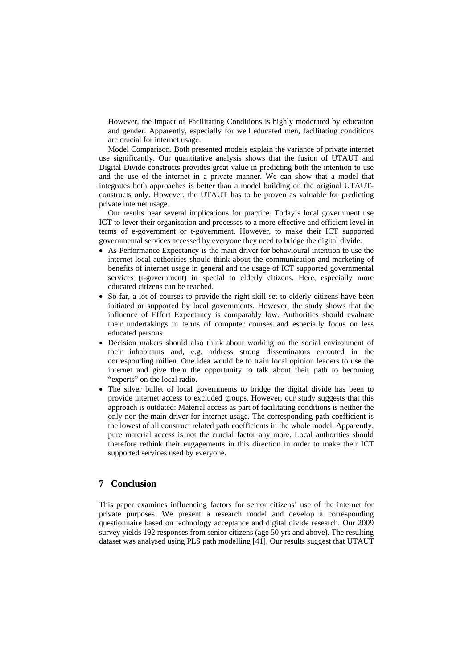However, the impact of Facilitating Conditions is highly moderated by education and gender. Apparently, especially for well educated men, facilitating conditions are crucial for internet usage.

Model Comparison. Both presented models explain the variance of private internet use significantly. Our quantitative analysis shows that the fusion of UTAUT and Digital Divide constructs provides great value in predicting both the intention to use and the use of the internet in a private manner. We can show that a model that integrates both approaches is better than a model building on the original UTAUTconstructs only. However, the UTAUT has to be proven as valuable for predicting private internet usage.

Our results bear several implications for practice. Today's local government use ICT to lever their organisation and processes to a more effective and efficient level in terms of e-government or t-government. However, to make their ICT supported governmental services accessed by everyone they need to bridge the digital divide.

- As Performance Expectancy is the main driver for behavioural intention to use the internet local authorities should think about the communication and marketing of benefits of internet usage in general and the usage of ICT supported governmental services (t-government) in special to elderly citizens. Here, especially more educated citizens can be reached.
- So far, a lot of courses to provide the right skill set to elderly citizens have been initiated or supported by local governments. However, the study shows that the influence of Effort Expectancy is comparably low. Authorities should evaluate their undertakings in terms of computer courses and especially focus on less educated persons.
- Decision makers should also think about working on the social environment of their inhabitants and, e.g. address strong disseminators enrooted in the corresponding milieu. One idea would be to train local opinion leaders to use the internet and give them the opportunity to talk about their path to becoming "experts" on the local radio.
- The silver bullet of local governments to bridge the digital divide has been to provide internet access to excluded groups. However, our study suggests that this approach is outdated: Material access as part of facilitating conditions is neither the only nor the main driver for internet usage. The corresponding path coefficient is the lowest of all construct related path coefficients in the whole model. Apparently, pure material access is not the crucial factor any more. Local authorities should therefore rethink their engagements in this direction in order to make their ICT supported services used by everyone.

## **7 Conclusion**

This paper examines influencing factors for senior citizens' use of the internet for private purposes. We present a research model and develop a corresponding questionnaire based on technology acceptance and digital divide research. Our 2009 survey yields 192 responses from senior citizens (age 50 yrs and above). The resulting dataset was analysed using PLS path modelling [41]. Our results suggest that UTAUT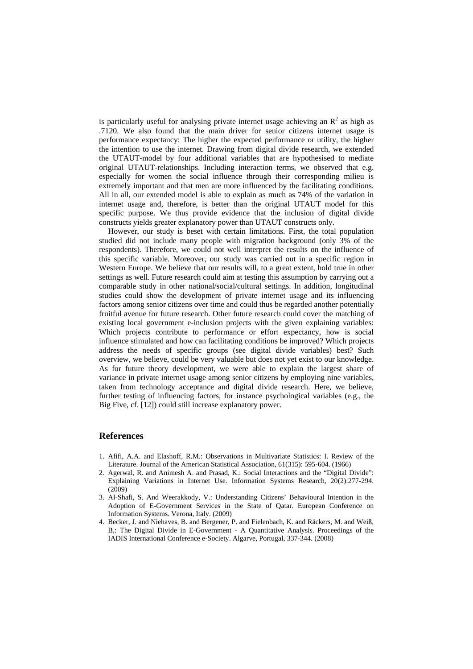is particularly useful for analysing private internet usage achieving an  $\mathbb{R}^2$  as high as .7120. We also found that the main driver for senior citizens internet usage is performance expectancy: The higher the expected performance or utility, the higher the intention to use the internet. Drawing from digital divide research, we extended the UTAUT-model by four additional variables that are hypothesised to mediate original UTAUT-relationships. Including interaction terms, we observed that e.g. especially for women the social influence through their corresponding milieu is extremely important and that men are more influenced by the facilitating conditions. All in all, our extended model is able to explain as much as 74% of the variation in internet usage and, therefore, is better than the original UTAUT model for this specific purpose. We thus provide evidence that the inclusion of digital divide constructs yields greater explanatory power than UTAUT constructs only.

However, our study is beset with certain limitations. First, the total population studied did not include many people with migration background (only 3% of the respondents). Therefore, we could not well interpret the results on the influence of this specific variable. Moreover, our study was carried out in a specific region in Western Europe. We believe that our results will, to a great extent, hold true in other settings as well. Future research could aim at testing this assumption by carrying out a comparable study in other national/social/cultural settings. In addition, longitudinal studies could show the development of private internet usage and its influencing factors among senior citizens over time and could thus be regarded another potentially fruitful avenue for future research. Other future research could cover the matching of existing local government e-inclusion projects with the given explaining variables: Which projects contribute to performance or effort expectancy, how is social influence stimulated and how can facilitating conditions be improved? Which projects address the needs of specific groups (see digital divide variables) best? Such overview, we believe, could be very valuable but does not yet exist to our knowledge. As for future theory development, we were able to explain the largest share of variance in private internet usage among senior citizens by employing nine variables, taken from technology acceptance and digital divide research. Here, we believe, further testing of influencing factors, for instance psychological variables (e.g., the Big Five, cf. [12]) could still increase explanatory power.

# **References**

- 1. Afifi, A.A. and Elashoff, R.M.: Observations in Multivariate Statistics: I. Review of the Literature. Journal of the American Statistical Association, 61(315): 595-604. (1966)
- 2. Agerwal, R. and Animesh A. and Prasad, K.: Social Interactions and the "Digital Divide": Explaining Variations in Internet Use. Information Systems Research, 20(2):277-294. (2009)
- 3. Al-Shafi, S. And Weerakkody, V.: Understanding Citizens' Behavioural Intention in the Adoption of E-Government Services in the State of Qatar. European Conference on Information Systems. Verona, Italy. (2009)
- 4. Becker, J. and Niehaves, B. and Bergener, P. and Fielenbach, K. and Räckers, M. and Weiß, B,: The Digital Divide in E-Government - A Quantitative Analysis. Proceedings of the IADIS International Conference e-Society. Algarve, Portugal, 337-344. (2008)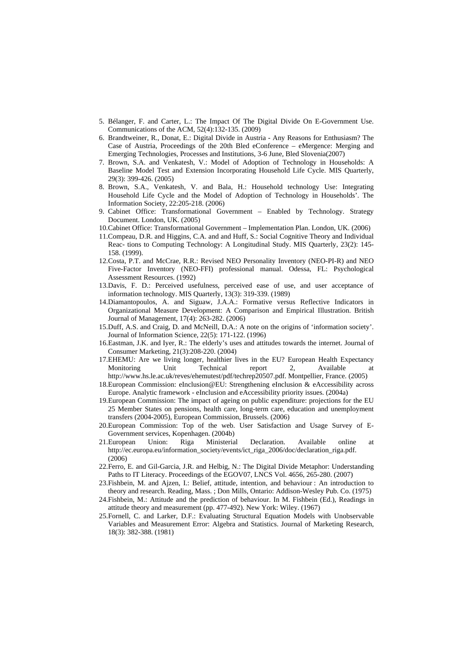- 5. Bélanger, F. and Carter, L.: The Impact Of The Digital Divide On E-Government Use. Communications of the ACM, 52(4):132-135. (2009)
- 6. Brandtweiner, R., Donat, E.: Digital Divide in Austria Any Reasons for Enthusiasm? The Case of Austria, Proceedings of the 20th Bled eConference – eMergence: Merging and Emerging Technologies, Processes and Institutions, 3-6 June, Bled Slovenia(2007)
- 7. Brown, S.A. and Venkatesh, V.: Model of Adoption of Technology in Households: A Baseline Model Test and Extension Incorporating Household Life Cycle. MIS Quarterly, 29(3): 399-426. (2005)
- 8. Brown, S.A., Venkatesh, V. and Bala, H.: Household technology Use: Integrating Household Life Cycle and the Model of Adoption of Technology in Households'. The Information Society, 22:205-218. (2006)
- 9. Cabinet Office: Transformational Government Enabled by Technology. Strategy Document. London, UK. (2005)
- 10. Cabinet Office: Transformational Government Implementation Plan. London, UK. (2006)
- 11. Compeau, D.R. and Higgins, C.A. and and Huff, S.: Social Cognitive Theory and Individual Reac- tions to Computing Technology: A Longitudinal Study. MIS Quarterly, 23(2): 145- 158. (1999).
- 12. Costa, P.T. and McCrae, R.R.: Revised NEO Personality Inventory (NEO-PI-R) and NEO Five-Factor Inventory (NEO-FFI) professional manual. Odessa, FL: Psychological Assessment Resources. (1992)
- 13. Davis, F. D.: Perceived usefulness, perceived ease of use, and user acceptance of information technology. MIS Quarterly, 13(3): 319-339. (1989)
- 14. Diamantopoulos, A. and Siguaw, J.A.A.: Formative versus Reflective Indicators in Organizational Measure Development: A Comparison and Empirical Illustration. British Journal of Management, 17(4): 263-282. (2006)
- 15. Duff, A.S. and Craig, D. and McNeill, D.A.: A note on the origins of 'information society'. Journal of Information Science, 22(5): 171-122. (1996)
- 16. Eastman, J.K. and Iyer, R.: The elderly's uses and attitudes towards the internet. Journal of Consumer Marketing, 21(3):208-220. (2004)
- 17. EHEMU: Are we living longer, healthier lives in the EU? European Health Expectancy Monitoring Unit Technical report 2, Available at http://www.hs.le.ac.uk/reves/ehemutest/pdf/techrep20507.pdf. Montpellier, France. (2005)
- 18. European Commission: eInclusion@EU: Strengthening eInclusion & eAccessibility across Europe. Analytic framework - eInclusion and eAccessibility priority issues. (2004a)
- 19. European Commission: The impact of ageing on public expenditure: projections for the EU 25 Member States on pensions, health care, long-term care, education and unemployment transfers (2004-2005), European Commission, Brussels. (2006)
- 20. European Commission: Top of the web. User Satisfaction and Usage Survey of E-Government services, Kopenhagen. (2004b)
- 21. European Union: Riga Ministerial Declaration. Available online at http://ec.europa.eu/information\_society/events/ict\_riga\_2006/doc/declaration\_riga.pdf. (2006)
- 22. Ferro, E. and Gil-Garcia, J.R. and Helbig, N.: The Digital Divide Metaphor: Understanding Paths to IT Literacy. Proceedings of the EGOV07, LNCS Vol. 4656, 265-280. (2007)
- 23. Fishbein, M. and Ajzen, I.: Belief, attitude, intention, and behaviour : An introduction to theory and research. Reading, Mass. ; Don Mills, Ontario: Addison-Wesley Pub. Co. (1975)
- 24. Fishbein, M.: Attitude and the prediction of behaviour. In M. Fishbein (Ed.), Readings in attitude theory and measurement (pp. 477-492). New York: Wiley. (1967)
- 25. Fornell, C. and Larker, D.F.: Evaluating Structural Equation Models with Unobservable Variables and Measurement Error: Algebra and Statistics. Journal of Marketing Research, 18(3): 382-388. (1981)